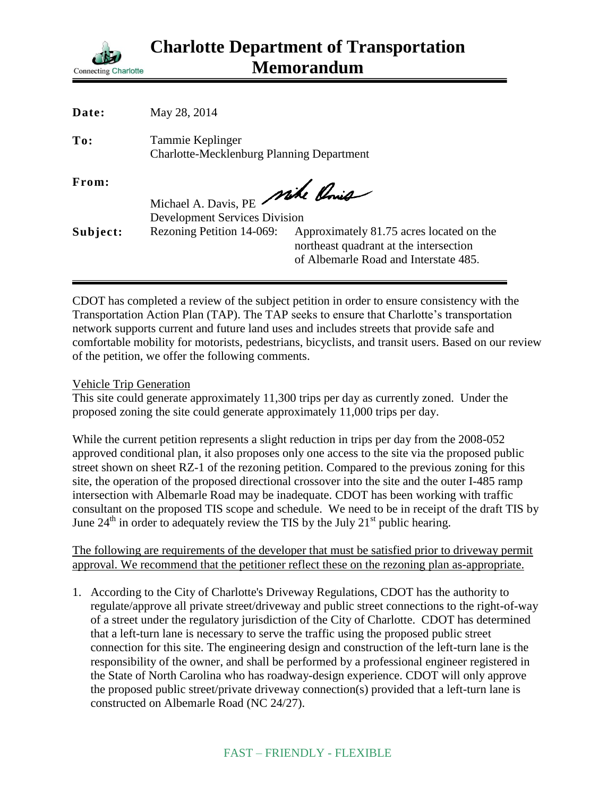

| Date:    | May 28, 2014                                                            |                                                                                                                             |
|----------|-------------------------------------------------------------------------|-----------------------------------------------------------------------------------------------------------------------------|
| To:      | Tammie Keplinger<br><b>Charlotte-Mecklenburg Planning Department</b>    |                                                                                                                             |
| From:    | Michael A. Davis, PE Mike Conig<br><b>Development Services Division</b> |                                                                                                                             |
| Subject: | Rezoning Petition 14-069:                                               | Approximately 81.75 acres located on the<br>northeast quadrant at the intersection<br>of Albemarle Road and Interstate 485. |

CDOT has completed a review of the subject petition in order to ensure consistency with the Transportation Action Plan (TAP). The TAP seeks to ensure that Charlotte's transportation network supports current and future land uses and includes streets that provide safe and comfortable mobility for motorists, pedestrians, bicyclists, and transit users. Based on our review of the petition, we offer the following comments.

Vehicle Trip Generation

This site could generate approximately 11,300 trips per day as currently zoned. Under the proposed zoning the site could generate approximately 11,000 trips per day.

While the current petition represents a slight reduction in trips per day from the 2008-052 approved conditional plan, it also proposes only one access to the site via the proposed public street shown on sheet RZ-1 of the rezoning petition. Compared to the previous zoning for this site, the operation of the proposed directional crossover into the site and the outer I-485 ramp intersection with Albemarle Road may be inadequate. CDOT has been working with traffic consultant on the proposed TIS scope and schedule. We need to be in receipt of the draft TIS by June  $24<sup>th</sup>$  in order to adequately review the TIS by the July  $21<sup>st</sup>$  public hearing.

The following are requirements of the developer that must be satisfied prior to driveway permit approval. We recommend that the petitioner reflect these on the rezoning plan as-appropriate.

1. According to the City of Charlotte's Driveway Regulations, CDOT has the authority to regulate/approve all private street/driveway and public street connections to the right-of-way of a street under the regulatory jurisdiction of the City of Charlotte. CDOT has determined that a left-turn lane is necessary to serve the traffic using the proposed public street connection for this site. The engineering design and construction of the left-turn lane is the responsibility of the owner, and shall be performed by a professional engineer registered in the State of North Carolina who has roadway-design experience. CDOT will only approve the proposed public street/private driveway connection(s) provided that a left-turn lane is constructed on Albemarle Road (NC 24/27).